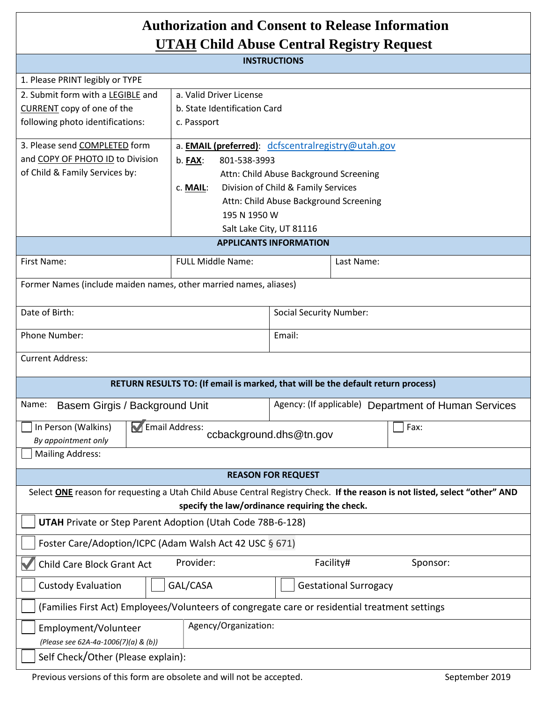## **Authorization and Consent to Release Information**

| <b>UTAH Child Abuse Central Registry Request</b>                                                                            |                                                                                                                                                                                                                                                                                  |                                                      |            |  |  |
|-----------------------------------------------------------------------------------------------------------------------------|----------------------------------------------------------------------------------------------------------------------------------------------------------------------------------------------------------------------------------------------------------------------------------|------------------------------------------------------|------------|--|--|
| <b>INSTRUCTIONS</b>                                                                                                         |                                                                                                                                                                                                                                                                                  |                                                      |            |  |  |
| 1. Please PRINT legibly or TYPE                                                                                             |                                                                                                                                                                                                                                                                                  |                                                      |            |  |  |
| 2. Submit form with a LEGIBLE and<br><b>CURRENT</b> copy of one of the<br>following photo identifications:                  | a. Valid Driver License<br>b. State Identification Card<br>c. Passport                                                                                                                                                                                                           |                                                      |            |  |  |
| 3. Please send COMPLETED form<br>and COPY OF PHOTO ID to Division<br>of Child & Family Services by:                         | a. <b>EMAIL (preferred)</b> : dcfscentralregistry@utah.gov<br>801-538-3993<br>b. FAX:<br>Attn: Child Abuse Background Screening<br>Division of Child & Family Services<br>c. <b>MAIL</b> :<br>Attn: Child Abuse Background Screening<br>195 N 1950 W<br>Salt Lake City, UT 81116 |                                                      |            |  |  |
| <b>APPLICANTS INFORMATION</b>                                                                                               |                                                                                                                                                                                                                                                                                  |                                                      |            |  |  |
| First Name:                                                                                                                 | <b>FULL Middle Name:</b>                                                                                                                                                                                                                                                         |                                                      | Last Name: |  |  |
| Former Names (include maiden names, other married names, aliases)                                                           |                                                                                                                                                                                                                                                                                  |                                                      |            |  |  |
| Date of Birth:                                                                                                              |                                                                                                                                                                                                                                                                                  | <b>Social Security Number:</b>                       |            |  |  |
| Phone Number:                                                                                                               |                                                                                                                                                                                                                                                                                  | Email:                                               |            |  |  |
| <b>Current Address:</b>                                                                                                     |                                                                                                                                                                                                                                                                                  |                                                      |            |  |  |
| RETURN RESULTS TO: (If email is marked, that will be the default return process)                                            |                                                                                                                                                                                                                                                                                  |                                                      |            |  |  |
| Name:<br>Basem Girgis / Background Unit                                                                                     |                                                                                                                                                                                                                                                                                  | Agency: (If applicable) Department of Human Services |            |  |  |
| Email Address:<br>In Person (Walkins)<br>ccbackground.dhs@tn.gov<br>By appointment only                                     |                                                                                                                                                                                                                                                                                  |                                                      | Fax:       |  |  |
| <b>Mailing Address:</b>                                                                                                     |                                                                                                                                                                                                                                                                                  |                                                      |            |  |  |
| <b>REASON FOR REQUEST</b>                                                                                                   |                                                                                                                                                                                                                                                                                  |                                                      |            |  |  |
| Select ONE reason for requesting a Utah Child Abuse Central Registry Check. If the reason is not listed, select "other" AND |                                                                                                                                                                                                                                                                                  |                                                      |            |  |  |
| specify the law/ordinance requiring the check.                                                                              |                                                                                                                                                                                                                                                                                  |                                                      |            |  |  |
| <b>UTAH</b> Private or Step Parent Adoption (Utah Code 78B-6-128)                                                           |                                                                                                                                                                                                                                                                                  |                                                      |            |  |  |
| Foster Care/Adoption/ICPC (Adam Walsh Act 42 USC § 671)                                                                     |                                                                                                                                                                                                                                                                                  |                                                      |            |  |  |
| Provider:<br>Facility#<br>Sponsor:<br>Child Care Block Grant Act                                                            |                                                                                                                                                                                                                                                                                  |                                                      |            |  |  |
| <b>Custody Evaluation</b>                                                                                                   | GAL/CASA<br><b>Gestational Surrogacy</b>                                                                                                                                                                                                                                         |                                                      |            |  |  |
| (Families First Act) Employees/Volunteers of congregate care or residential treatment settings                              |                                                                                                                                                                                                                                                                                  |                                                      |            |  |  |
| Agency/Organization:<br>Employment/Volunteer<br>(Please see 62A-4a-1006(7)(a) & (b))                                        |                                                                                                                                                                                                                                                                                  |                                                      |            |  |  |
| Self Check/Other (Please explain):                                                                                          |                                                                                                                                                                                                                                                                                  |                                                      |            |  |  |

Previous versions of this form are obsolete and will not be accepted. September 2019